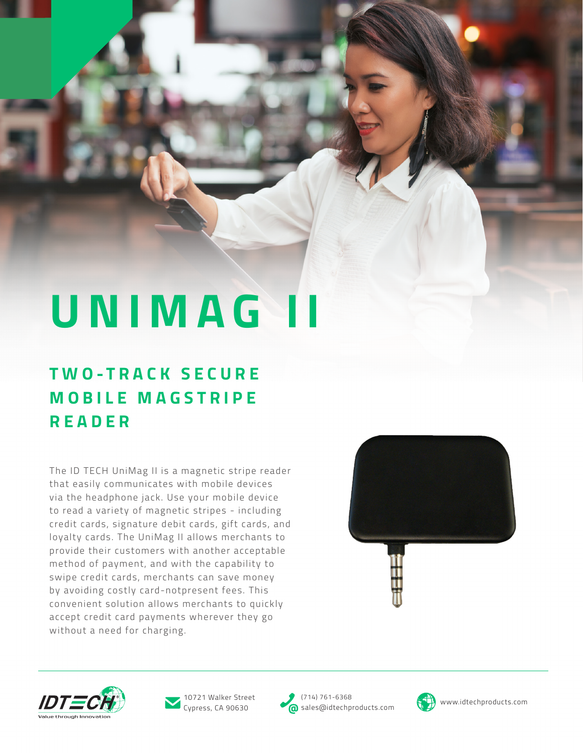# **UNIMAG II**

## **T W O - T R A C K S E C U R E M O B I L E M A G S T R I P E READER**

The ID TECH UniMag II is a magnetic stripe reader that easily communicates with mobile devices via the headphone jack. Use your mobile device to read a variety of magnetic stripes - including credit cards, signature debit cards, gift cards, and loyalty cards. The UniMag II allows merchants to provide their customers with another acceptable method of payment, and with the capability to swipe credit cards, merchants can save money by avoiding costly card-notpresent fees. This convenient solution allows merchants to quickly accept credit card payments wherever they go without a need for charging.







Cypress, CA 90630